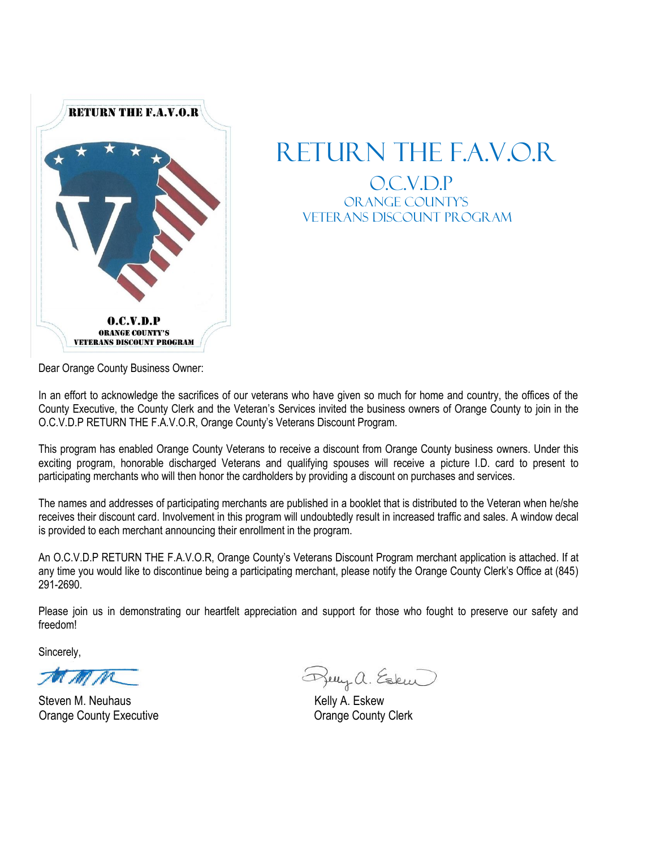

## RETURN THE F.A.V.O.R O.C.V.D.P ORANGE COUNTY'S VETERANS DISCOUNT PROGRAM

Dear Orange County Business Owner:

In an effort to acknowledge the sacrifices of our veterans who have given so much for home and country, the offices of the County Executive, the County Clerk and the Veteran's Services invited the business owners of Orange County to join in the O.C.V.D.P RETURN THE F.A.V.O.R, Orange County's Veterans Discount Program.

This program has enabled Orange County Veterans to receive a discount from Orange County business owners. Under this exciting program, honorable discharged Veterans and qualifying spouses will receive a picture I.D. card to present to participating merchants who will then honor the cardholders by providing a discount on purchases and services.

The names and addresses of participating merchants are published in a booklet that is distributed to the Veteran when he/she receives their discount card. Involvement in this program will undoubtedly result in increased traffic and sales. A window decal is provided to each merchant announcing their enrollment in the program.

An O.C.V.D.P RETURN THE F.A.V.O.R, Orange County's Veterans Discount Program merchant application is attached. If at any time you would like to discontinue being a participating merchant, please notify the Orange County Clerk's Office at (845) 291-2690.

Please join us in demonstrating our heartfelt appreciation and support for those who fought to preserve our safety and freedom!

Sincerely,

Steven M. Neuhaus<br>
Orange County Executive<br>
Orange County Executive<br>
Orange County Executive **Orange County Executive** 

Berry a. Esken